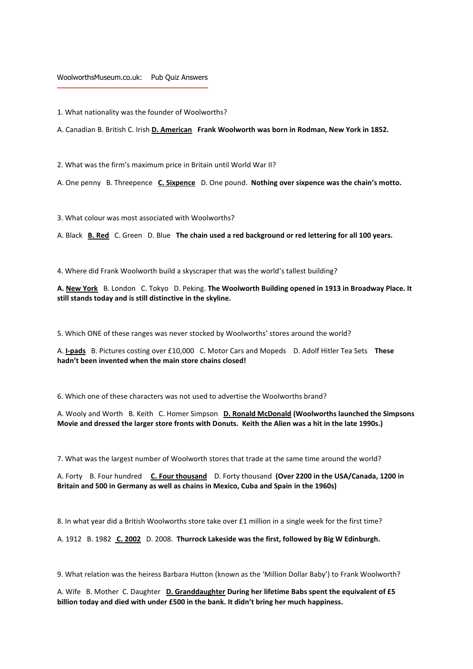## WoolworthsMuseum.co.uk: Pub Quiz Answers

1. What nationality was the founder of Woolworths?

A. Canadian B. British C. Irish **D. American Frank Woolworth was born in Rodman, New York in 1852.**

2. What was the firm's maximum price in Britain until World War II?

A. One penny B. Threepence **C. Sixpence** D. One pound. **Nothing over sixpence was the chain's motto.** 

3. What colour was most associated with Woolworths?

A. Black **B. Red** C. Green D. Blue **The chain used a red background or red lettering for all 100 years.** 

4. Where did Frank Woolworth build a skyscraper that was the world's tallest building?

**A. New York** B. London C. Tokyo D. Peking. **The Woolworth Building opened in 1913 in Broadway Place. It still stands today and is still distinctive in the skyline.** 

5. Which ONE of these ranges was never stocked by Woolworths' stores around the world?

A. **I-pads** B. Pictures costing over £10,000 C. Motor Cars and Mopeds D. Adolf Hitler Tea Sets **These hadn't been invented when the main store chains closed!** 

6. Which one of these characters was not used to advertise the Woolworths brand?

A. Wooly and Worth B. Keith C. Homer Simpson **D. Ronald McDonald (Woolworths launched the Simpsons Movie and dressed the larger store fronts with Donuts. Keith the Alien was a hit in the late 1990s.)**

7. What was the largest number of Woolworth stores that trade at the same time around the world?

A. Forty B. Four hundred **C. Four thousand** D. Forty thousand **(Over 2200 in the USA/Canada, 1200 in Britain and 500 in Germany as well as chains in Mexico, Cuba and Spain in the 1960s)**

8. In what year did a British Woolworths store take over £1 million in a single week for the first time?

A. 1912 B. 1982 **C. 2002** D. 2008. **Thurrock Lakeside was the first, followed by Big W Edinburgh.** 

9. What relation was the heiress Barbara Hutton (known as the 'Million Dollar Baby') to Frank Woolworth?

A. Wife B. Mother C. Daughter **D. Granddaughter During her lifetime Babs spent the equivalent of £5 billion today and died with under £500 in the bank. It didn't bring her much happiness.**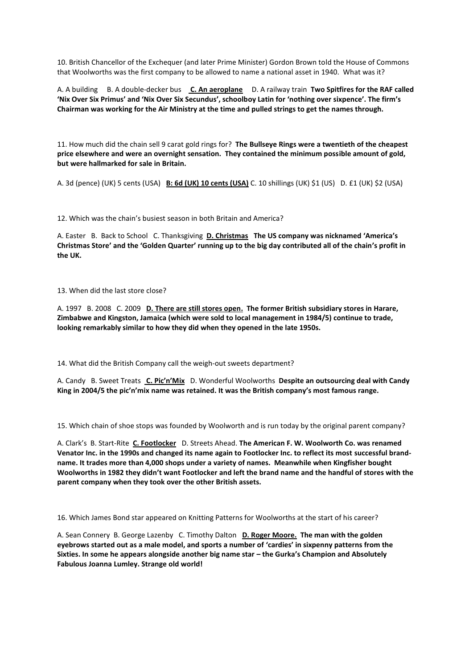10. British Chancellor of the Exchequer (and later Prime Minister) Gordon Brown told the House of Commons that Woolworths was the first company to be allowed to name a national asset in 1940. What was it?

A. A building B. A double-decker bus **C. An aeroplane** D. A railway train **Two Spitfires for the RAF called 'Nix Over Six Primus' and 'Nix Over Six Secundus', schoolboy Latin for 'nothing over sixpence'. The firm's Chairman was working for the Air Ministry at the time and pulled strings to get the names through.** 

11. How much did the chain sell 9 carat gold rings for? **The Bullseye Rings were a twentieth of the cheapest price elsewhere and were an overnight sensation. They contained the minimum possible amount of gold, but were hallmarked for sale in Britain.**

A. 3d (pence) (UK) 5 cents (USA) **B: 6d (UK) 10 cents (USA)** C. 10 shillings (UK) \$1 (US) D. £1 (UK) \$2 (USA)

12. Which was the chain's busiest season in both Britain and America?

A. Easter B. Back to School C. Thanksgiving **D. Christmas The US company was nicknamed 'America's Christmas Store' and the 'Golden Quarter' running up to the big day contributed all of the chain's profit in the UK.**

13. When did the last store close?

A. 1997 B. 2008 C. 2009 **D. There are still stores open. The former British subsidiary stores in Harare, Zimbabwe and Kingston, Jamaica (which were sold to local management in 1984/5) continue to trade, looking remarkably similar to how they did when they opened in the late 1950s.**

14. What did the British Company call the weigh-out sweets department?

A. Candy B. Sweet Treats **C. Pic'n'Mix** D. Wonderful Woolworths **Despite an outsourcing deal with Candy King in 2004/5 the pic'n'mix name was retained. It was the British company's most famous range.** 

15. Which chain of shoe stops was founded by Woolworth and is run today by the original parent company?

A. Clark's B. Start-Rite **C. Footlocker** D. Streets Ahead. **The American F. W. Woolworth Co. was renamed Venator Inc. in the 1990s and changed its name again to Footlocker Inc. to reflect its most successful brandname. It trades more than 4,000 shops under a variety of names. Meanwhile when Kingfisher bought Woolworths in 1982 they didn't want Footlocker and left the brand name and the handful of stores with the parent company when they took over the other British assets.** 

16. Which James Bond star appeared on Knitting Patterns for Woolworths at the start of his career?

A. Sean Connery B. George Lazenby C. Timothy Dalton **D. Roger Moore. The man with the golden eyebrows started out as a male model, and sports a number of 'cardies' in sixpenny patterns from the Sixties. In some he appears alongside another big name star – the Gurka's Champion and Absolutely Fabulous Joanna Lumley. Strange old world!**